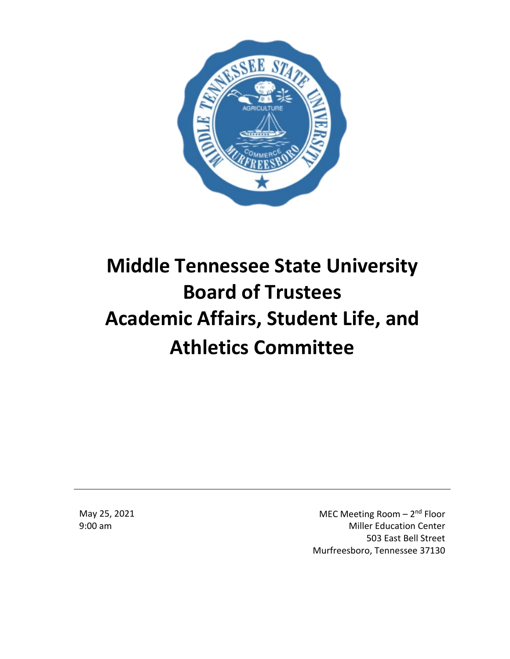

# **Middle Tennessee State University Board of Trustees Academic Affairs, Student Life, and Athletics Committee**

May 25, 2021 9:00 am

MEC Meeting Room - 2<sup>nd</sup> Floor Miller Education Center 503 East Bell Street Murfreesboro, Tennessee 37130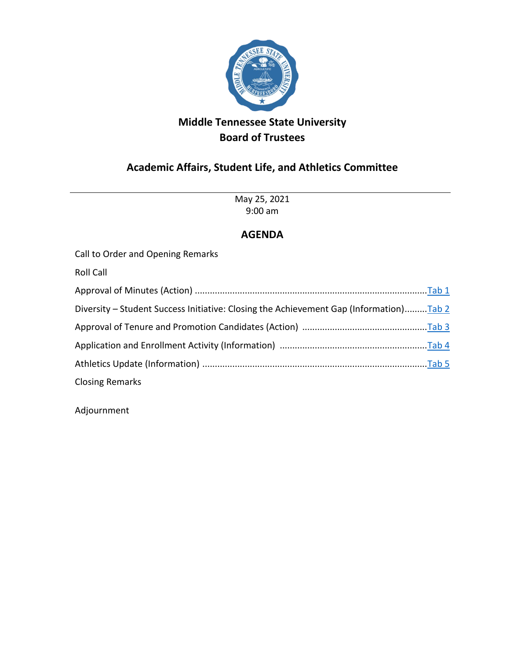

## **Academic Affairs, Student Life, and Athletics Committee**

May 25, 2021 9:00 am

## **AGENDA**

Call to Order and Opening Remarks

Roll Call

| Diversity - Student Success Initiative: Closing the Achievement Gap (Information)Tab 2 |  |
|----------------------------------------------------------------------------------------|--|
|                                                                                        |  |
|                                                                                        |  |
|                                                                                        |  |
| <b>Closing Remarks</b>                                                                 |  |

Adjournment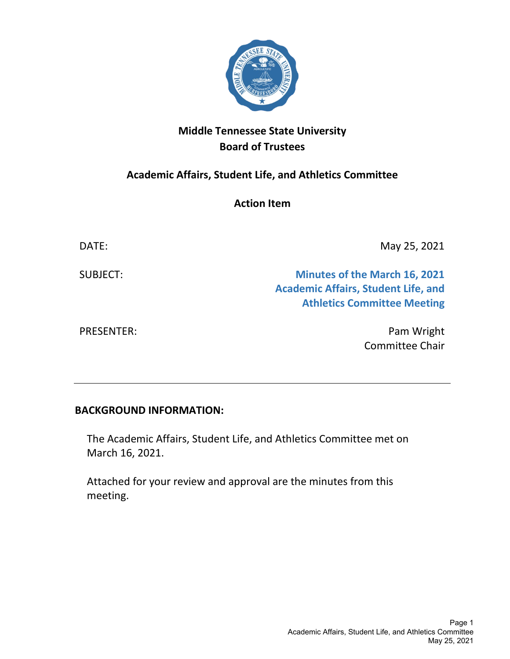

<span id="page-4-0"></span>**Academic Affairs, Student Life, and Athletics Committee**

**Action Item**

| DATE:             | May 25, 2021                                                                                                             |
|-------------------|--------------------------------------------------------------------------------------------------------------------------|
| SUBJECT:          | <b>Minutes of the March 16, 2021</b><br><b>Academic Affairs, Student Life, and</b><br><b>Athletics Committee Meeting</b> |
| <b>PRESENTER:</b> | Pam Wright                                                                                                               |

## **BACKGROUND INFORMATION:**

The Academic Affairs, Student Life, and Athletics Committee met on March 16, 2021.

Attached for your review and approval are the minutes from this meeting.

Committee Chair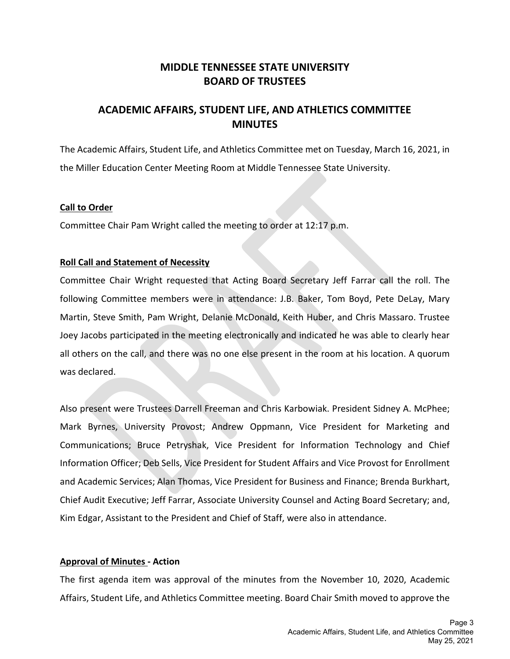## **MIDDLE TENNESSEE STATE UNIVERSITY BOARD OF TRUSTEES**

## **ACADEMIC AFFAIRS, STUDENT LIFE, AND ATHLETICS COMMITTEE MINUTES**

The Academic Affairs, Student Life, and Athletics Committee met on Tuesday, March 16, 2021, in the Miller Education Center Meeting Room at Middle Tennessee State University.

#### **Call to Order**

Committee Chair Pam Wright called the meeting to order at 12:17 p.m.

#### **Roll Call and Statement of Necessity**

Committee Chair Wright requested that Acting Board Secretary Jeff Farrar call the roll. The following Committee members were in attendance: J.B. Baker, Tom Boyd, Pete DeLay, Mary Martin, Steve Smith, Pam Wright, Delanie McDonald, Keith Huber, and Chris Massaro. Trustee Joey Jacobs participated in the meeting electronically and indicated he was able to clearly hear all others on the call, and there was no one else present in the room at his location. A quorum was declared.

Also present were Trustees Darrell Freeman and Chris Karbowiak. President Sidney A. McPhee; Mark Byrnes, University Provost; Andrew Oppmann, Vice President for Marketing and Communications; Bruce Petryshak, Vice President for Information Technology and Chief Information Officer; Deb Sells, Vice President for Student Affairs and Vice Provost for Enrollment and Academic Services; Alan Thomas, Vice President for Business and Finance; Brenda Burkhart, Chief Audit Executive; Jeff Farrar, Associate University Counsel and Acting Board Secretary; and, Kim Edgar, Assistant to the President and Chief of Staff, were also in attendance.

#### **Approval of Minutes - Action**

The first agenda item was approval of the minutes from the November 10, 2020, Academic Affairs, Student Life, and Athletics Committee meeting. Board Chair Smith moved to approve the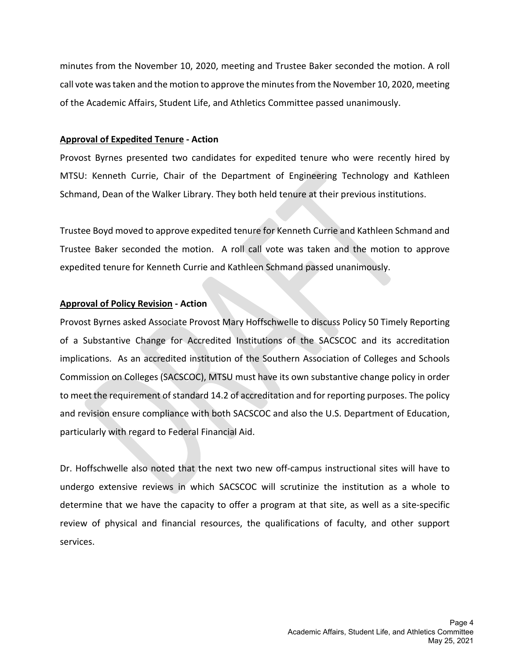minutes from the November 10, 2020, meeting and Trustee Baker seconded the motion. A roll call vote was taken and the motion to approve the minutes from the November 10, 2020, meeting of the Academic Affairs, Student Life, and Athletics Committee passed unanimously.

#### **Approval of Expedited Tenure - Action**

Provost Byrnes presented two candidates for expedited tenure who were recently hired by MTSU: Kenneth Currie, Chair of the Department of Engineering Technology and Kathleen Schmand, Dean of the Walker Library. They both held tenure at their previous institutions.

Trustee Boyd moved to approve expedited tenure for Kenneth Currie and Kathleen Schmand and Trustee Baker seconded the motion. A roll call vote was taken and the motion to approve expedited tenure for Kenneth Currie and Kathleen Schmand passed unanimously.

#### **Approval of Policy Revision - Action**

Provost Byrnes asked Associate Provost Mary Hoffschwelle to discuss Policy 50 Timely Reporting of a Substantive Change for Accredited Institutions of the SACSCOC and its accreditation implications. As an accredited institution of the Southern Association of Colleges and Schools Commission on Colleges (SACSCOC), MTSU must have its own substantive change policy in order to meet the requirement of standard 14.2 of accreditation and for reporting purposes. The policy and revision ensure compliance with both SACSCOC and also the U.S. Department of Education, particularly with regard to Federal Financial Aid.

Dr. Hoffschwelle also noted that the next two new off-campus instructional sites will have to undergo extensive reviews in which SACSCOC will scrutinize the institution as a whole to determine that we have the capacity to offer a program at that site, as well as a site-specific review of physical and financial resources, the qualifications of faculty, and other support services.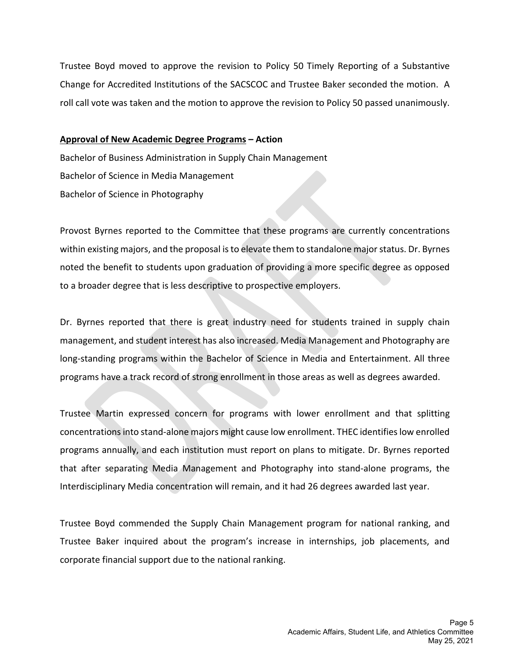Trustee Boyd moved to approve the revision to Policy 50 Timely Reporting of a Substantive Change for Accredited Institutions of the SACSCOC and Trustee Baker seconded the motion. A roll call vote was taken and the motion to approve the revision to Policy 50 passed unanimously.

#### **Approval of New Academic Degree Programs – Action**

Bachelor of Business Administration in Supply Chain Management Bachelor of Science in Media Management Bachelor of Science in Photography

Provost Byrnes reported to the Committee that these programs are currently concentrations within existing majors, and the proposal is to elevate them to standalone major status. Dr. Byrnes noted the benefit to students upon graduation of providing a more specific degree as opposed to a broader degree that is less descriptive to prospective employers.

Dr. Byrnes reported that there is great industry need for students trained in supply chain management, and student interest has also increased. Media Management and Photography are long-standing programs within the Bachelor of Science in Media and Entertainment. All three programs have a track record of strong enrollment in those areas as well as degrees awarded.

Trustee Martin expressed concern for programs with lower enrollment and that splitting concentrationsinto stand-alone majors might cause low enrollment. THEC identifies low enrolled programs annually, and each institution must report on plans to mitigate. Dr. Byrnes reported that after separating Media Management and Photography into stand-alone programs, the Interdisciplinary Media concentration will remain, and it had 26 degrees awarded last year.

Trustee Boyd commended the Supply Chain Management program for national ranking, and Trustee Baker inquired about the program's increase in internships, job placements, and corporate financial support due to the national ranking.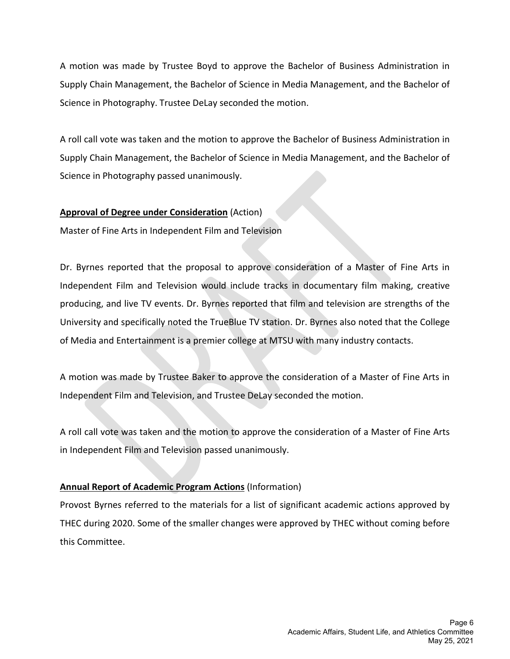A motion was made by Trustee Boyd to approve the Bachelor of Business Administration in Supply Chain Management, the Bachelor of Science in Media Management, and the Bachelor of Science in Photography. Trustee DeLay seconded the motion.

A roll call vote was taken and the motion to approve the Bachelor of Business Administration in Supply Chain Management, the Bachelor of Science in Media Management, and the Bachelor of Science in Photography passed unanimously.

#### **Approval of Degree under Consideration** (Action)

Master of Fine Arts in Independent Film and Television

Dr. Byrnes reported that the proposal to approve consideration of a Master of Fine Arts in Independent Film and Television would include tracks in documentary film making, creative producing, and live TV events. Dr. Byrnes reported that film and television are strengths of the University and specifically noted the TrueBlue TV station. Dr. Byrnes also noted that the College of Media and Entertainment is a premier college at MTSU with many industry contacts.

A motion was made by Trustee Baker to approve the consideration of a Master of Fine Arts in Independent Film and Television, and Trustee DeLay seconded the motion.

A roll call vote was taken and the motion to approve the consideration of a Master of Fine Arts in Independent Film and Television passed unanimously.

#### **Annual Report of Academic Program Actions** (Information)

Provost Byrnes referred to the materials for a list of significant academic actions approved by THEC during 2020. Some of the smaller changes were approved by THEC without coming before this Committee.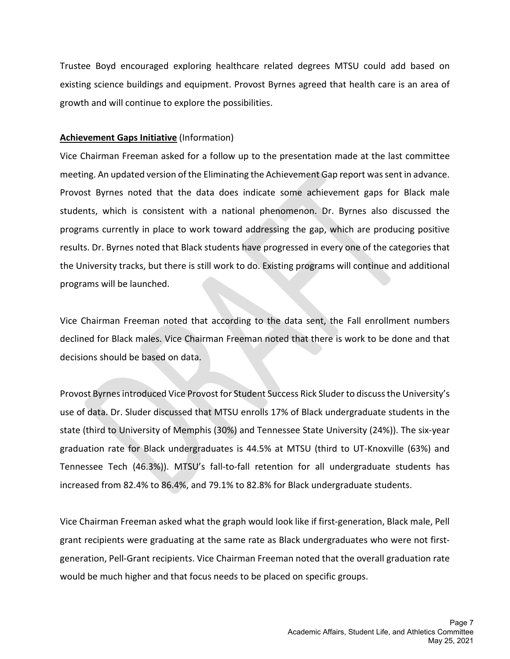Trustee Boyd encouraged exploring healthcare related degrees MTSU could add based on existing science buildings and equipment. Provost Byrnes agreed that health care is an area of growth and will continue to explore the possibilities.

#### **Achievement Gaps Initiative** (Information)

Vice Chairman Freeman asked for a follow up to the presentation made at the last committee meeting. An updated version of the Eliminating the Achievement Gap report was sent in advance. Provost Byrnes noted that the data does indicate some achievement gaps for Black male students, which is consistent with a national phenomenon. Dr. Byrnes also discussed the programs currently in place to work toward addressing the gap, which are producing positive results. Dr. Byrnes noted that Black students have progressed in every one of the categories that the University tracks, but there is still work to do. Existing programs will continue and additional programs will be launched.

Vice Chairman Freeman noted that according to the data sent, the Fall enrollment numbers declined for Black males. Vice Chairman Freeman noted that there is work to be done and that decisions should be based on data.

Provost Byrnes introduced Vice Provost for Student Success Rick Sluderto discuss the University's use of data. Dr. Sluder discussed that MTSU enrolls 17% of Black undergraduate students in the state (third to University of Memphis (30%) and Tennessee State University (24%)). The six-year graduation rate for Black undergraduates is 44.5% at MTSU (third to UT-Knoxville (63%) and Tennessee Tech (46.3%)). MTSU's fall-to-fall retention for all undergraduate students has increased from 82.4% to 86.4%, and 79.1% to 82.8% for Black undergraduate students.

Vice Chairman Freeman asked what the graph would look like if first-generation, Black male, Pell grant recipients were graduating at the same rate as Black undergraduates who were not firstgeneration, Pell-Grant recipients. Vice Chairman Freeman noted that the overall graduation rate would be much higher and that focus needs to be placed on specific groups.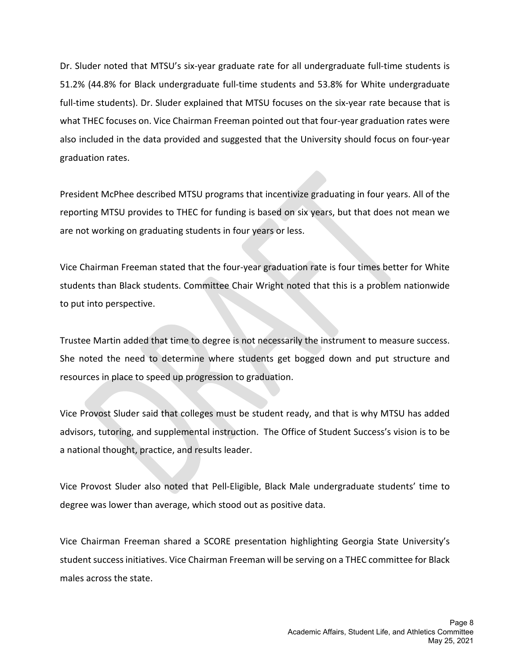Dr. Sluder noted that MTSU's six-year graduate rate for all undergraduate full-time students is 51.2% (44.8% for Black undergraduate full-time students and 53.8% for White undergraduate full-time students). Dr. Sluder explained that MTSU focuses on the six-year rate because that is what THEC focuses on. Vice Chairman Freeman pointed out that four-year graduation rates were also included in the data provided and suggested that the University should focus on four-year graduation rates.

President McPhee described MTSU programs that incentivize graduating in four years. All of the reporting MTSU provides to THEC for funding is based on six years, but that does not mean we are not working on graduating students in four years or less.

Vice Chairman Freeman stated that the four-year graduation rate is four times better for White students than Black students. Committee Chair Wright noted that this is a problem nationwide to put into perspective.

Trustee Martin added that time to degree is not necessarily the instrument to measure success. She noted the need to determine where students get bogged down and put structure and resources in place to speed up progression to graduation.

Vice Provost Sluder said that colleges must be student ready, and that is why MTSU has added advisors, tutoring, and supplemental instruction. The Office of Student Success's vision is to be a national thought, practice, and results leader.

Vice Provost Sluder also noted that Pell-Eligible, Black Male undergraduate students' time to degree was lower than average, which stood out as positive data.

Vice Chairman Freeman shared a SCORE presentation highlighting Georgia State University's student success initiatives. Vice Chairman Freeman will be serving on a THEC committee for Black males across the state.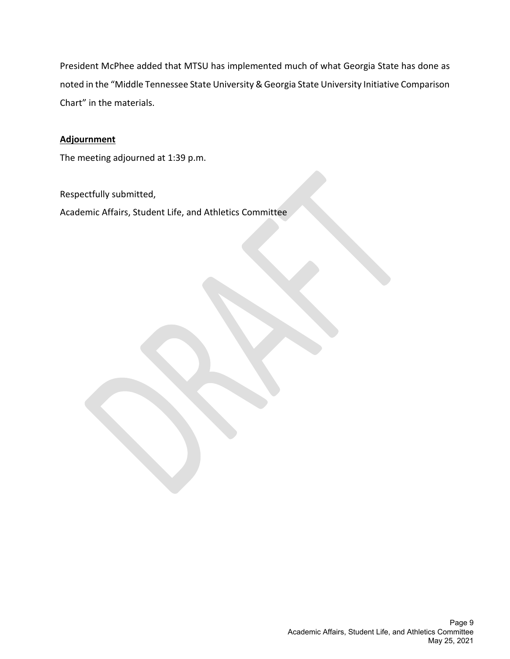President McPhee added that MTSU has implemented much of what Georgia State has done as noted in the "Middle Tennessee State University & Georgia State University Initiative Comparison Chart" in the materials.

#### **Adjournment**

The meeting adjourned at 1:39 p.m.

Respectfully submitted,

Academic Affairs, Student Life, and Athletics Committee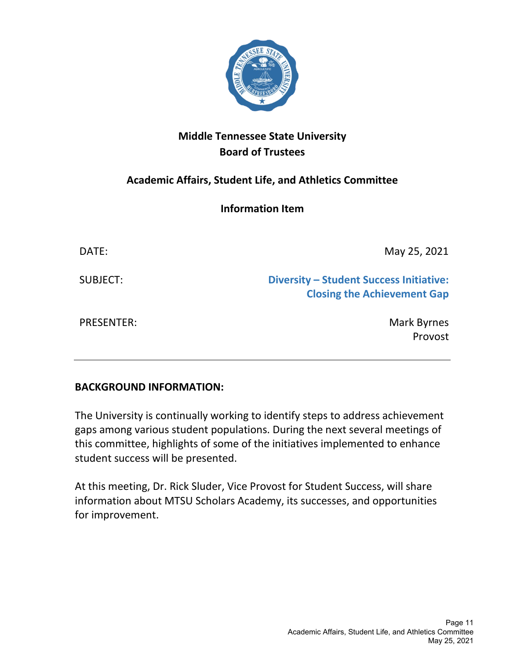

# <span id="page-14-0"></span>**Academic Affairs, Student Life, and Athletics Committee**

**Information Item**

| DATE:             | May 25, 2021                                                                         |
|-------------------|--------------------------------------------------------------------------------------|
| SUBJECT:          | <b>Diversity - Student Success Initiative:</b><br><b>Closing the Achievement Gap</b> |
| <b>PRESENTER:</b> | Mark Byrnes<br>Provost                                                               |

## **BACKGROUND INFORMATION:**

The University is continually working to identify steps to address achievement gaps among various student populations. During the next several meetings of this committee, highlights of some of the initiatives implemented to enhance student success will be presented.

At this meeting, Dr. Rick Sluder, Vice Provost for Student Success, will share information about MTSU Scholars Academy, its successes, and opportunities for improvement.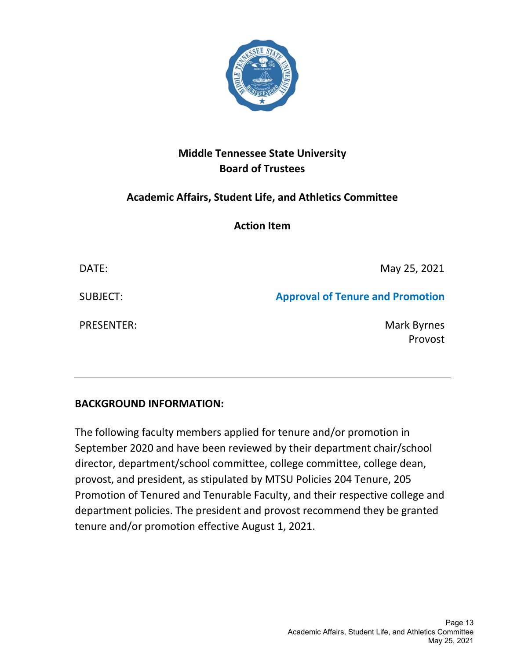

## <span id="page-16-0"></span>**Academic Affairs, Student Life, and Athletics Committee**

**Action Item**

DATE: May 25, 2021 SUBJECT: **Approval of Tenure and Promotion** PRESENTER: Mark Byrnes Provost

## **BACKGROUND INFORMATION:**

The following faculty members applied for tenure and/or promotion in September 2020 and have been reviewed by their department chair/school director, department/school committee, college committee, college dean, provost, and president, as stipulated by MTSU Policies 204 Tenure, 205 Promotion of Tenured and Tenurable Faculty, and their respective college and department policies. The president and provost recommend they be granted tenure and/or promotion effective August 1, 2021.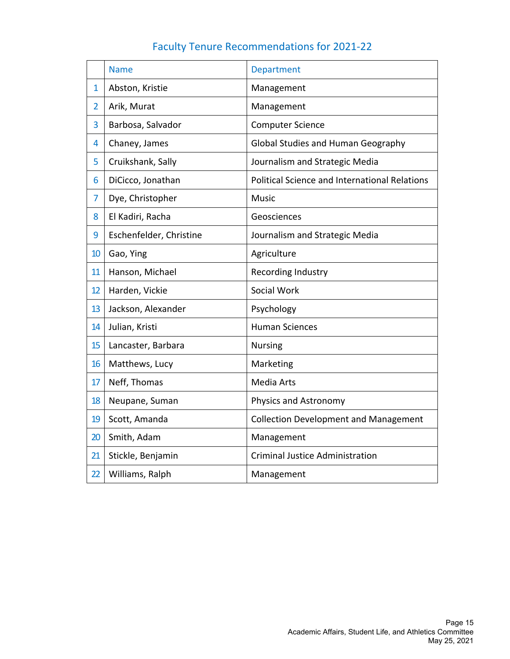|  | <b>Faculty Tenure Recommendations for 2021-22</b> |  |  |
|--|---------------------------------------------------|--|--|
|--|---------------------------------------------------|--|--|

|                | <b>Name</b>             | <b>Department</b>                                    |
|----------------|-------------------------|------------------------------------------------------|
| $\overline{1}$ | Abston, Kristie         | Management                                           |
| $\overline{2}$ | Arik, Murat             | Management                                           |
| 3              | Barbosa, Salvador       | <b>Computer Science</b>                              |
| 4              | Chaney, James           | Global Studies and Human Geography                   |
| 5              | Cruikshank, Sally       | Journalism and Strategic Media                       |
| 6              | DiCicco, Jonathan       | <b>Political Science and International Relations</b> |
| 7              | Dye, Christopher        | <b>Music</b>                                         |
| 8              | El Kadiri, Racha        | Geosciences                                          |
| 9              | Eschenfelder, Christine | Journalism and Strategic Media                       |
| 10             | Gao, Ying               | Agriculture                                          |
| 11             | Hanson, Michael         | Recording Industry                                   |
| 12             | Harden, Vickie          | Social Work                                          |
| 13             | Jackson, Alexander      | Psychology                                           |
| 14             | Julian, Kristi          | <b>Human Sciences</b>                                |
| 15             | Lancaster, Barbara      | <b>Nursing</b>                                       |
| 16             | Matthews, Lucy          | Marketing                                            |
| 17             | Neff, Thomas            | <b>Media Arts</b>                                    |
| 18             | Neupane, Suman          | Physics and Astronomy                                |
| 19             | Scott, Amanda           | <b>Collection Development and Management</b>         |
| 20             | Smith, Adam             | Management                                           |
| 21             | Stickle, Benjamin       | <b>Criminal Justice Administration</b>               |
| 22             | Williams, Ralph         | Management                                           |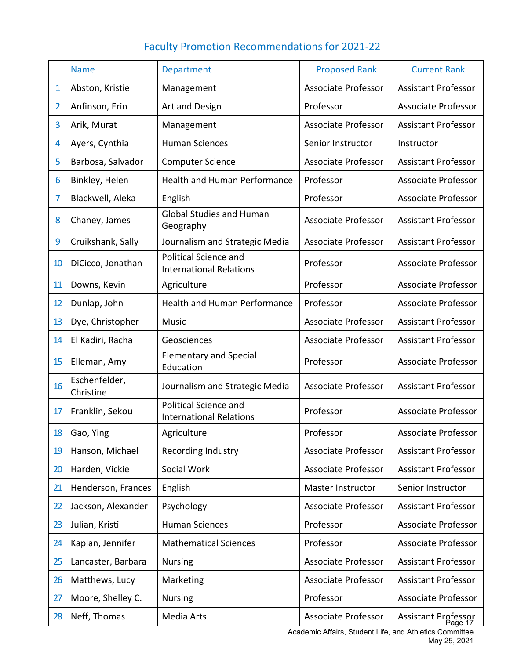# Faculty Promotion Recommendations for 2021‐22

|                | <b>Name</b>                | <b>Department</b>                                              | <b>Proposed Rank</b>       | <b>Current Rank</b>            |
|----------------|----------------------------|----------------------------------------------------------------|----------------------------|--------------------------------|
| $\mathbf{1}$   | Abston, Kristie            | Management                                                     | Associate Professor        | <b>Assistant Professor</b>     |
| $\overline{2}$ | Anfinson, Erin             | Art and Design                                                 | Professor                  | <b>Associate Professor</b>     |
| 3              | Arik, Murat                | Management                                                     | <b>Associate Professor</b> | <b>Assistant Professor</b>     |
| 4              | Ayers, Cynthia             | <b>Human Sciences</b>                                          | Senior Instructor          | Instructor                     |
| 5              | Barbosa, Salvador          | <b>Computer Science</b>                                        | <b>Associate Professor</b> | <b>Assistant Professor</b>     |
| 6              | Binkley, Helen             | <b>Health and Human Performance</b>                            | Professor                  | <b>Associate Professor</b>     |
| 7              | Blackwell, Aleka           | English                                                        | Professor                  | <b>Associate Professor</b>     |
| 8              | Chaney, James              | <b>Global Studies and Human</b><br>Geography                   | <b>Associate Professor</b> | <b>Assistant Professor</b>     |
| 9              | Cruikshank, Sally          | Journalism and Strategic Media                                 | <b>Associate Professor</b> | <b>Assistant Professor</b>     |
| 10             | DiCicco, Jonathan          | <b>Political Science and</b><br><b>International Relations</b> | Professor                  | <b>Associate Professor</b>     |
| 11             | Downs, Kevin               | Agriculture                                                    | Professor                  | <b>Associate Professor</b>     |
| 12             | Dunlap, John               | <b>Health and Human Performance</b>                            | Professor                  | <b>Associate Professor</b>     |
| 13             | Dye, Christopher           | <b>Music</b>                                                   | <b>Associate Professor</b> | <b>Assistant Professor</b>     |
| 14             | El Kadiri, Racha           | Geosciences                                                    | <b>Associate Professor</b> | <b>Assistant Professor</b>     |
| 15             | Elleman, Amy               | <b>Elementary and Special</b><br>Education                     | Professor                  | <b>Associate Professor</b>     |
| 16             | Eschenfelder,<br>Christine | Journalism and Strategic Media                                 | <b>Associate Professor</b> | <b>Assistant Professor</b>     |
| 17             | Franklin, Sekou            | <b>Political Science and</b><br><b>International Relations</b> | Professor                  | <b>Associate Professor</b>     |
| 18             | Gao, Ying                  | Agriculture                                                    | Professor                  | Associate Professor            |
| 19             | Hanson, Michael            | Recording Industry                                             | <b>Associate Professor</b> | <b>Assistant Professor</b>     |
| 20             | Harden, Vickie             | Social Work                                                    | <b>Associate Professor</b> | <b>Assistant Professor</b>     |
| 21             | Henderson, Frances         | English                                                        | Master Instructor          | Senior Instructor              |
| 22             | Jackson, Alexander         | Psychology                                                     | <b>Associate Professor</b> | <b>Assistant Professor</b>     |
| 23             | Julian, Kristi             | <b>Human Sciences</b>                                          | Professor                  | <b>Associate Professor</b>     |
| 24             | Kaplan, Jennifer           | <b>Mathematical Sciences</b>                                   | Professor                  | Associate Professor            |
| 25             | Lancaster, Barbara         | <b>Nursing</b>                                                 | <b>Associate Professor</b> | <b>Assistant Professor</b>     |
| 26             | Matthews, Lucy             | Marketing                                                      | <b>Associate Professor</b> | <b>Assistant Professor</b>     |
| 27             | Moore, Shelley C.          | <b>Nursing</b>                                                 | Professor                  | Associate Professor            |
| 28             | Neff, Thomas               | Media Arts                                                     | <b>Associate Professor</b> | Assistant Professor<br>Page 17 |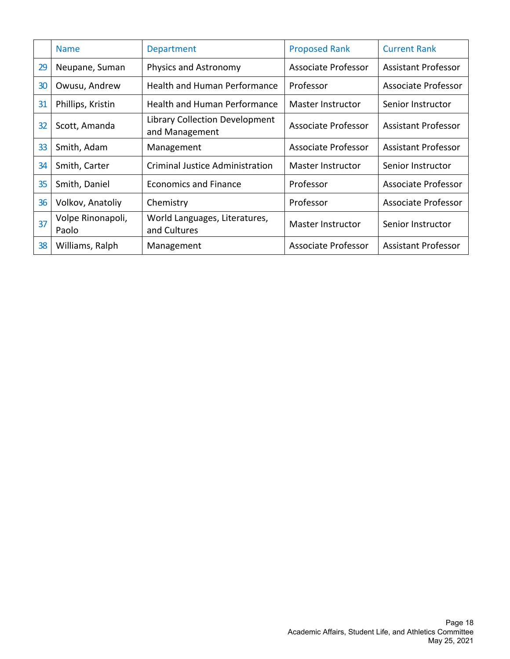|    | <b>Name</b>                | Department                                       | <b>Proposed Rank</b>       | <b>Current Rank</b>        |
|----|----------------------------|--------------------------------------------------|----------------------------|----------------------------|
| 29 | Neupane, Suman             | Physics and Astronomy                            | <b>Associate Professor</b> | <b>Assistant Professor</b> |
| 30 | Owusu, Andrew              | <b>Health and Human Performance</b>              | Professor                  | <b>Associate Professor</b> |
| 31 | Phillips, Kristin          | <b>Health and Human Performance</b>              | Master Instructor          | Senior Instructor          |
| 32 | Scott, Amanda              | Library Collection Development<br>and Management | Associate Professor        | <b>Assistant Professor</b> |
| 33 | Smith, Adam                | Management                                       | Associate Professor        | <b>Assistant Professor</b> |
| 34 | Smith, Carter              | <b>Criminal Justice Administration</b>           | Master Instructor          | Senior Instructor          |
| 35 | Smith, Daniel              | <b>Economics and Finance</b>                     | Professor                  | Associate Professor        |
| 36 | Volkov, Anatoliy           | Chemistry                                        | Professor                  | <b>Associate Professor</b> |
| 37 | Volpe Rinonapoli,<br>Paolo | World Languages, Literatures,<br>and Cultures    | Master Instructor          | Senior Instructor          |
| 38 | Williams, Ralph            | Management                                       | <b>Associate Professor</b> | <b>Assistant Professor</b> |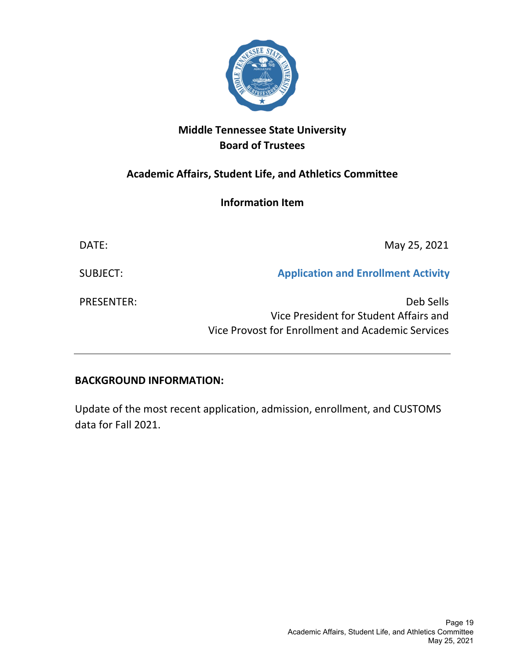

# <span id="page-22-0"></span>**Academic Affairs, Student Life, and Athletics Committee**

## **Information Item**

| DATE:             | May 25, 2021                                                                                             |
|-------------------|----------------------------------------------------------------------------------------------------------|
| SUBJECT:          | <b>Application and Enrollment Activity</b>                                                               |
| <b>PRESENTER:</b> | Deb Sells<br>Vice President for Student Affairs and<br>Vice Provost for Enrollment and Academic Services |

## **BACKGROUND INFORMATION:**

Update of the most recent application, admission, enrollment, and CUSTOMS data for Fall 2021.